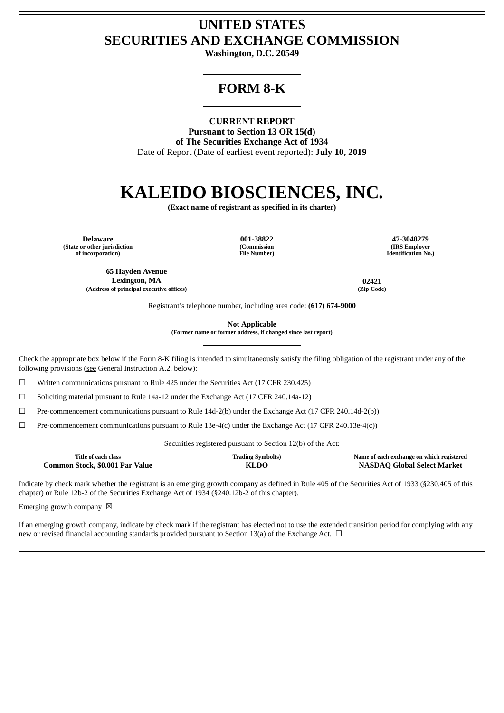## **UNITED STATES SECURITIES AND EXCHANGE COMMISSION**

**Washington, D.C. 20549**

## **FORM 8-K**

**CURRENT REPORT Pursuant to Section 13 OR 15(d)**

**of The Securities Exchange Act of 1934** Date of Report (Date of earliest event reported): **July 10, 2019**

# **KALEIDO BIOSCIENCES, INC.**

**(Exact name of registrant as specified in its charter)**

**Delaware 001-38822 47-3048279 (State or other jurisdiction of incorporation)**

**(Commission File Number)**

**(IRS Employer Identification No.)**

**65 Hayden Avenue Lexington, MA 02421 (Address of principal executive offices) (Zip Code)**

Registrant's telephone number, including area code: **(617) 674-9000**

**Not Applicable**

**(Former name or former address, if changed since last report)**

Check the appropriate box below if the Form 8-K filing is intended to simultaneously satisfy the filing obligation of the registrant under any of the following provisions (see General Instruction A.2. below):

☐ Written communications pursuant to Rule 425 under the Securities Act (17 CFR 230.425)

 $\Box$  Soliciting material pursuant to Rule 14a-12 under the Exchange Act (17 CFR 240.14a-12)

☐ Pre-commencement communications pursuant to Rule 14d-2(b) under the Exchange Act (17 CFR 240.14d-2(b))

 $\Box$  Pre-commencement communications pursuant to Rule 13e-4(c) under the Exchange Act (17 CFR 240.13e-4(c))

Securities registered pursuant to Section 12(b) of the Act:

| Title of each class             | <b>Trading Symbol(s)</b> | Name of each exchange on which registered |
|---------------------------------|--------------------------|-------------------------------------------|
| Common Stock, \$0.001 Par Value | KLDC                     | <b>NASDAQ Global Select Market</b>        |

Indicate by check mark whether the registrant is an emerging growth company as defined in Rule 405 of the Securities Act of 1933 (§230.405 of this chapter) or Rule 12b-2 of the Securities Exchange Act of 1934 (§240.12b-2 of this chapter).

Emerging growth company  $\boxtimes$ 

If an emerging growth company, indicate by check mark if the registrant has elected not to use the extended transition period for complying with any new or revised financial accounting standards provided pursuant to Section 13(a) of the Exchange Act.  $\Box$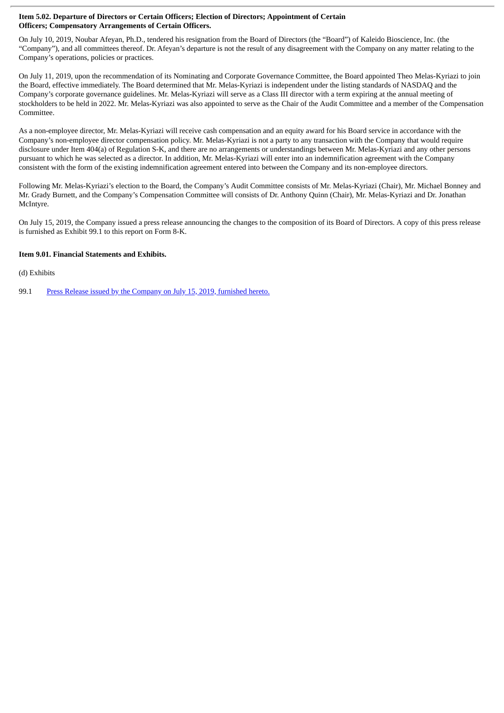#### **Item 5.02. Departure of Directors or Certain Officers; Election of Directors; Appointment of Certain Officers; Compensatory Arrangements of Certain Officers.**

On July 10, 2019, Noubar Afeyan, Ph.D., tendered his resignation from the Board of Directors (the "Board") of Kaleido Bioscience, Inc. (the "Company"), and all committees thereof. Dr. Afeyan's departure is not the result of any disagreement with the Company on any matter relating to the Company's operations, policies or practices.

On July 11, 2019, upon the recommendation of its Nominating and Corporate Governance Committee, the Board appointed Theo Melas-Kyriazi to join the Board, effective immediately. The Board determined that Mr. Melas-Kyriazi is independent under the listing standards of NASDAQ and the Company's corporate governance guidelines. Mr. Melas-Kyriazi will serve as a Class III director with a term expiring at the annual meeting of stockholders to be held in 2022. Mr. Melas-Kyriazi was also appointed to serve as the Chair of the Audit Committee and a member of the Compensation Committee.

As a non-employee director, Mr. Melas-Kyriazi will receive cash compensation and an equity award for his Board service in accordance with the Company's non-employee director compensation policy. Mr. Melas-Kyriazi is not a party to any transaction with the Company that would require disclosure under Item 404(a) of Regulation S-K, and there are no arrangements or understandings between Mr. Melas-Kyriazi and any other persons pursuant to which he was selected as a director. In addition, Mr. Melas-Kyriazi will enter into an indemnification agreement with the Company consistent with the form of the existing indemnification agreement entered into between the Company and its non-employee directors.

Following Mr. Melas-Kyriazi's election to the Board, the Company's Audit Committee consists of Mr. Melas-Kyriazi (Chair), Mr. Michael Bonney and Mr. Grady Burnett, and the Company's Compensation Committee will consists of Dr. Anthony Quinn (Chair), Mr. Melas-Kyriazi and Dr. Jonathan McIntyre.

On July 15, 2019, the Company issued a press release announcing the changes to the composition of its Board of Directors. A copy of this press release is furnished as Exhibit 99.1 to this report on Form 8-K.

### **Item 9.01. Financial Statements and Exhibits.**

(d) Exhibits

99.1 Press Release issued by the [Company](#page-3-0) on July 15, 2019, furnished hereto.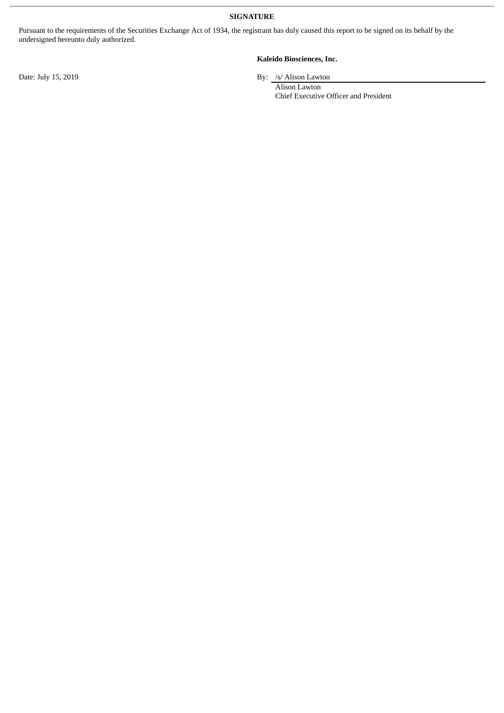**SIGNATURE**

Pursuant to the requirements of the Securities Exchange Act of 1934, the registrant has duly caused this report to be signed on its behalf by the undersigned hereunto duly authorized.

#### **Kaleido Biosciences, Inc.**

Date: July 15, 2019 By: /s/ Alison Lawton

Alison Lawton Chief Executive Officer and President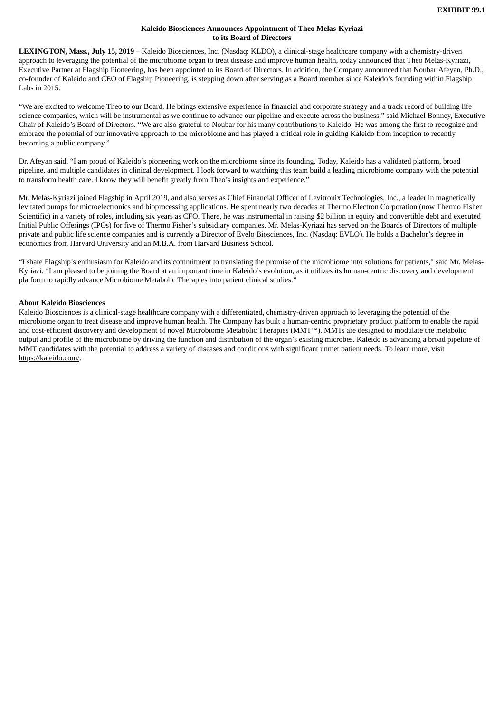#### **Kaleido Biosciences Announces Appointment of Theo Melas-Kyriazi to its Board of Directors**

<span id="page-3-0"></span>**LEXINGTON, Mass., July 15, 2019** – Kaleido Biosciences, Inc. (Nasdaq: KLDO), a clinical-stage healthcare company with a chemistry-driven approach to leveraging the potential of the microbiome organ to treat disease and improve human health, today announced that Theo Melas-Kyriazi, Executive Partner at Flagship Pioneering, has been appointed to its Board of Directors. In addition, the Company announced that Noubar Afeyan, Ph.D., co-founder of Kaleido and CEO of Flagship Pioneering, is stepping down after serving as a Board member since Kaleido's founding within Flagship Labs in 2015.

"We are excited to welcome Theo to our Board. He brings extensive experience in financial and corporate strategy and a track record of building life science companies, which will be instrumental as we continue to advance our pipeline and execute across the business," said Michael Bonney, Executive Chair of Kaleido's Board of Directors. "We are also grateful to Noubar for his many contributions to Kaleido. He was among the first to recognize and embrace the potential of our innovative approach to the microbiome and has played a critical role in guiding Kaleido from inception to recently becoming a public company."

Dr. Afeyan said, "I am proud of Kaleido's pioneering work on the microbiome since its founding. Today, Kaleido has a validated platform, broad pipeline, and multiple candidates in clinical development. I look forward to watching this team build a leading microbiome company with the potential to transform health care. I know they will benefit greatly from Theo's insights and experience."

Mr. Melas-Kyriazi joined Flagship in April 2019, and also serves as Chief Financial Officer of Levitronix Technologies, Inc., a leader in magnetically levitated pumps for microelectronics and bioprocessing applications. He spent nearly two decades at Thermo Electron Corporation (now Thermo Fisher Scientific) in a variety of roles, including six years as CFO. There, he was instrumental in raising \$2 billion in equity and convertible debt and executed Initial Public Offerings (IPOs) for five of Thermo Fisher's subsidiary companies. Mr. Melas-Kyriazi has served on the Boards of Directors of multiple private and public life science companies and is currently a Director of Evelo Biosciences, Inc. (Nasdaq: EVLO). He holds a Bachelor's degree in economics from Harvard University and an M.B.A. from Harvard Business School.

"I share Flagship's enthusiasm for Kaleido and its commitment to translating the promise of the microbiome into solutions for patients," said Mr. Melas-Kyriazi. "I am pleased to be joining the Board at an important time in Kaleido's evolution, as it utilizes its human-centric discovery and development platform to rapidly advance Microbiome Metabolic Therapies into patient clinical studies."

#### **About Kaleido Biosciences**

Kaleido Biosciences is a clinical-stage healthcare company with a differentiated, chemistry-driven approach to leveraging the potential of the microbiome organ to treat disease and improve human health. The Company has built a human-centric proprietary product platform to enable the rapid and cost-efficient discovery and development of novel Microbiome Metabolic Therapies (MMT™). MMTs are designed to modulate the metabolic output and profile of the microbiome by driving the function and distribution of the organ's existing microbes. Kaleido is advancing a broad pipeline of MMT candidates with the potential to address a variety of diseases and conditions with significant unmet patient needs. To learn more, visit https://kaleido.com/.